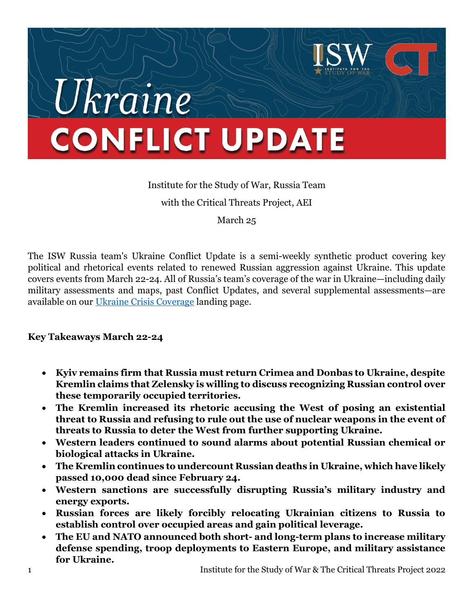# Ukraine **CONFLICT UPDATE**

# Institute for the Study of War, Russia Team with the Critical Threats Project, AEI

March 25

The ISW Russia team's Ukraine Conflict Update is a semi-weekly synthetic product covering key political and rhetorical events related to renewed Russian aggression against Ukraine. This update covers events from March 22-24. All of Russia's team's coverage of the war in Ukraine—including daily military assessments and maps, past Conflict Updates, and several supplemental assessments—are available on our Ukraine Crisis Coverage landing page.

# Key Takeaways March 22-24

- Kyiv remains firm that Russia must return Crimea and Donbas to Ukraine, despite Kremlin claims that Zelensky is willing to discuss recognizing Russian control over these temporarily occupied territories.
- The Kremlin increased its rhetoric accusing the West of posing an existential threat to Russia and refusing to rule out the use of nuclear weapons in the event of threats to Russia to deter the West from further supporting Ukraine.
- Western leaders continued to sound alarms about potential Russian chemical or biological attacks in Ukraine.
- The Kremlin continues to undercount Russian deaths in Ukraine, which have likely passed 10,000 dead since February 24.
- Western sanctions are successfully disrupting Russia's military industry and energy exports.
- Russian forces are likely forcibly relocating Ukrainian citizens to Russia to establish control over occupied areas and gain political leverage.
- The EU and NATO announced both short- and long-term plans to increase military defense spending, troop deployments to Eastern Europe, and military assistance for Ukraine.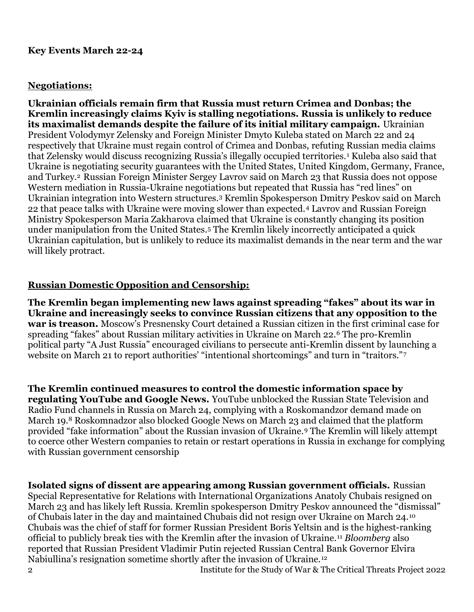#### Key Events March 22-24

#### Negotiations:

Ukrainian officials remain firm that Russia must return Crimea and Donbas; the Kremlin increasingly claims Kyiv is stalling negotiations. Russia is unlikely to reduce its maximalist demands despite the failure of its initial military campaign. Ukrainian President Volodymyr Zelensky and Foreign Minister Dmyto Kuleba stated on March 22 and 24 respectively that Ukraine must regain control of Crimea and Donbas, refuting Russian media claims that Zelensky would discuss recognizing Russia's illegally occupied territories.<sup>1</sup> Kuleba also said that Ukraine is negotiating security guarantees with the United States, United Kingdom, Germany, France, and Turkey.2 Russian Foreign Minister Sergey Lavrov said on March 23 that Russia does not oppose Western mediation in Russia-Ukraine negotiations but repeated that Russia has "red lines" on Ukrainian integration into Western structures.3 Kremlin Spokesperson Dmitry Peskov said on March 22 that peace talks with Ukraine were moving slower than expected.4 Lavrov and Russian Foreign Ministry Spokesperson Maria Zakharova claimed that Ukraine is constantly changing its position under manipulation from the United States.5 The Kremlin likely incorrectly anticipated a quick Ukrainian capitulation, but is unlikely to reduce its maximalist demands in the near term and the war will likely protract.

#### Russian Domestic Opposition and Censorship:

The Kremlin began implementing new laws against spreading "fakes" about its war in Ukraine and increasingly seeks to convince Russian citizens that any opposition to the war is treason. Moscow's Presnensky Court detained a Russian citizen in the first criminal case for spreading "fakes" about Russian military activities in Ukraine on March 22.6 The pro-Kremlin political party "A Just Russia" encouraged civilians to persecute anti-Kremlin dissent by launching a website on March 21 to report authorities' "intentional shortcomings" and turn in "traitors."

The Kremlin continued measures to control the domestic information space by regulating YouTube and Google News. YouTube unblocked the Russian State Television and Radio Fund channels in Russia on March 24, complying with a Roskomandzor demand made on March 19.8 Roskomnadzor also blocked Google News on March 23 and claimed that the platform provided "fake information" about the Russian invasion of Ukraine.9 The Kremlin will likely attempt to coerce other Western companies to retain or restart operations in Russia in exchange for complying with Russian government censorship

Isolated signs of dissent are appearing among Russian government officials. Russian Special Representative for Relations with International Organizations Anatoly Chubais resigned on March 23 and has likely left Russia. Kremlin spokesperson Dmitry Peskov announced the "dismissal" of Chubais later in the day and maintained Chubais did not resign over Ukraine on March 24.<sup>10</sup> Chubais was the chief of staff for former Russian President Boris Yeltsin and is the highest-ranking official to publicly break ties with the Kremlin after the invasion of Ukraine.<sup>11</sup> Bloomberg also reported that Russian President Vladimir Putin rejected Russian Central Bank Governor Elvira Nabiullina's resignation sometime shortly after the invasion of Ukraine.12

2 Institute for the Study of War & The Critical Threats Project 2022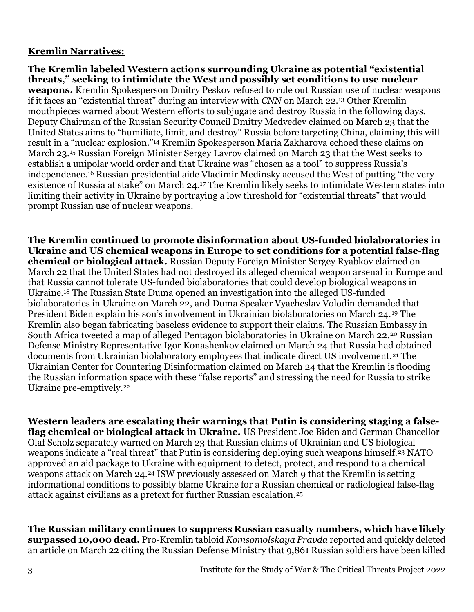## Kremlin Narratives:

The Kremlin labeled Western actions surrounding Ukraine as potential "existential threats," seeking to intimidate the West and possibly set conditions to use nuclear weapons. Kremlin Spokesperson Dmitry Peskov refused to rule out Russian use of nuclear weapons if it faces an "existential threat" during an interview with CNN on March 22.13 Other Kremlin mouthpieces warned about Western efforts to subjugate and destroy Russia in the following days. Deputy Chairman of the Russian Security Council Dmitry Medvedev claimed on March 23 that the United States aims to "humiliate, limit, and destroy" Russia before targeting China, claiming this will result in a "nuclear explosion."14 Kremlin Spokesperson Maria Zakharova echoed these claims on March 23.15 Russian Foreign Minister Sergey Lavrov claimed on March 23 that the West seeks to establish a unipolar world order and that Ukraine was "chosen as a tool" to suppress Russia's independence.16 Russian presidential aide Vladimir Medinsky accused the West of putting "the very existence of Russia at stake" on March 24.17 The Kremlin likely seeks to intimidate Western states into limiting their activity in Ukraine by portraying a low threshold for "existential threats" that would prompt Russian use of nuclear weapons.

The Kremlin continued to promote disinformation about US-funded biolaboratories in Ukraine and US chemical weapons in Europe to set conditions for a potential false-flag chemical or biological attack. Russian Deputy Foreign Minister Sergey Ryabkov claimed on March 22 that the United States had not destroyed its alleged chemical weapon arsenal in Europe and that Russia cannot tolerate US-funded biolaboratories that could develop biological weapons in Ukraine.18 The Russian State Duma opened an investigation into the alleged US-funded biolaboratories in Ukraine on March 22, and Duma Speaker Vyacheslav Volodin demanded that President Biden explain his son's involvement in Ukrainian biolaboratories on March 24.19 The Kremlin also began fabricating baseless evidence to support their claims. The Russian Embassy in South Africa tweeted a map of alleged Pentagon biolaboratories in Ukraine on March 22.20 Russian Defense Ministry Representative Igor Konashenkov claimed on March 24 that Russia had obtained documents from Ukrainian biolaboratory employees that indicate direct US involvement.<sup>21</sup> The Ukrainian Center for Countering Disinformation claimed on March 24 that the Kremlin is flooding the Russian information space with these "false reports" and stressing the need for Russia to strike Ukraine pre-emptively.<sup>22</sup>

Western leaders are escalating their warnings that Putin is considering staging a falseflag chemical or biological attack in Ukraine. US President Joe Biden and German Chancellor Olaf Scholz separately warned on March 23 that Russian claims of Ukrainian and US biological weapons indicate a "real threat" that Putin is considering deploying such weapons himself.<sup>23</sup> NATO approved an aid package to Ukraine with equipment to detect, protect, and respond to a chemical weapons attack on March 24.24 ISW previously assessed on March 9 that the Kremlin is setting informational conditions to possibly blame Ukraine for a Russian chemical or radiological false-flag attack against civilians as a pretext for further Russian escalation.<sup>25</sup>

The Russian military continues to suppress Russian casualty numbers, which have likely surpassed 10,000 dead. Pro-Kremlin tabloid Komsomolskaya Pravda reported and quickly deleted an article on March 22 citing the Russian Defense Ministry that 9,861 Russian soldiers have been killed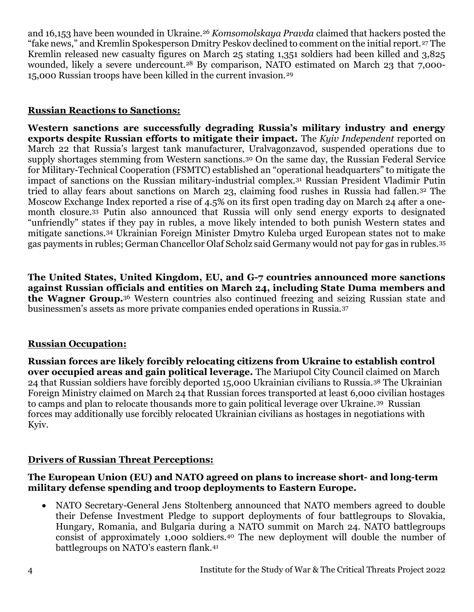and 16,153 have been wounded in Ukraine.<sup>26</sup> Komsomolskaya Pravda claimed that hackers posted the "fake news," and Kremlin Spokesperson Dmitry Peskov declined to comment on the initial report.27 The Kremlin released new casualty figures on March 25 stating 1,351 soldiers had been killed and 3,825 wounded, likely a severe undercount.<sup>28</sup> By comparison, NATO estimated on March 23 that 7,000-15,000 Russian troops have been killed in the current invasion.<sup>29</sup>

#### Russian Reactions to Sanctions:

Western sanctions are successfully degrading Russia's military industry and energy exports despite Russian efforts to mitigate their impact. The Kyiv Independent reported on March 22 that Russia's largest tank manufacturer, Uralvagonzavod, suspended operations due to supply shortages stemming from Western sanctions.30 On the same day, the Russian Federal Service for Military-Technical Cooperation (FSMTC) established an "operational headquarters" to mitigate the impact of sanctions on the Russian military-industrial complex.31 Russian President Vladimir Putin tried to allay fears about sanctions on March 23, claiming food rushes in Russia had fallen.32 The Moscow Exchange Index reported a rise of 4.5% on its first open trading day on March 24 after a onemonth closure.33 Putin also announced that Russia will only send energy exports to designated "unfriendly" states if they pay in rubles, a move likely intended to both punish Western states and mitigate sanctions.34 Ukrainian Foreign Minister Dmytro Kuleba urged European states not to make gas payments in rubles; German Chancellor Olaf Scholz said Germany would not pay for gas in rubles.<sup>35</sup>

The United States, United Kingdom, EU, and G-7 countries announced more sanctions against Russian officials and entities on March 24, including State Duma members and the Wagner Group.36 Western countries also continued freezing and seizing Russian state and businessmen's assets as more private companies ended operations in Russia.<sup>37</sup>

#### Russian Occupation:

Russian forces are likely forcibly relocating citizens from Ukraine to establish control over occupied areas and gain political leverage. The Mariupol City Council claimed on March 24 that Russian soldiers have forcibly deported 15,000 Ukrainian civilians to Russia.38 The Ukrainian Foreign Ministry claimed on March 24 that Russian forces transported at least 6,000 civilian hostages to camps and plan to relocate thousands more to gain political leverage over Ukraine.39 Russian forces may additionally use forcibly relocated Ukrainian civilians as hostages in negotiations with Kyiv.

#### Drivers of Russian Threat Perceptions:

#### The European Union (EU) and NATO agreed on plans to increase short- and long-term military defense spending and troop deployments to Eastern Europe.

• NATO Secretary-General Jens Stoltenberg announced that NATO members agreed to double their Defense Investment Pledge to support deployments of four battlegroups to Slovakia, Hungary, Romania, and Bulgaria during a NATO summit on March 24. NATO battlegroups consist of approximately 1,000 soldiers.40 The new deployment will double the number of battlegroups on NATO's eastern flank.41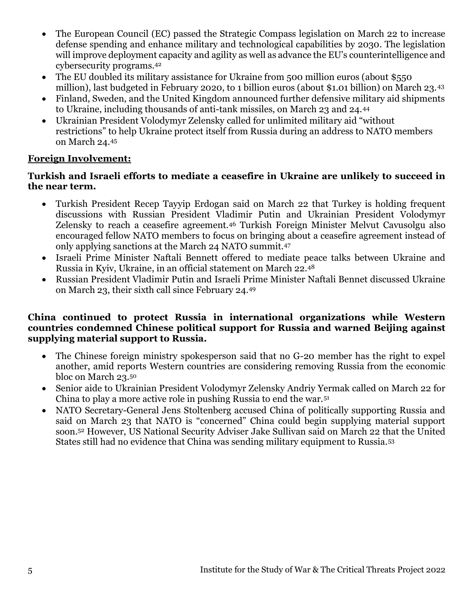- The European Council (EC) passed the Strategic Compass legislation on March 22 to increase defense spending and enhance military and technological capabilities by 2030. The legislation will improve deployment capacity and agility as well as advance the EU's counterintelligence and cybersecurity programs.<sup>42</sup>
- The EU doubled its military assistance for Ukraine from 500 million euros (about \$550 million), last budgeted in February 2020, to 1 billion euros (about \$1.01 billion) on March 23.<sup>43</sup>
- Finland, Sweden, and the United Kingdom announced further defensive military aid shipments to Ukraine, including thousands of anti-tank missiles, on March 23 and 24.<sup>44</sup>
- Ukrainian President Volodymyr Zelensky called for unlimited military aid "without restrictions" to help Ukraine protect itself from Russia during an address to NATO members on March 24.<sup>45</sup>

## Foreign Involvement:

#### Turkish and Israeli efforts to mediate a ceasefire in Ukraine are unlikely to succeed in the near term.

- Turkish President Recep Tayyip Erdogan said on March 22 that Turkey is holding frequent discussions with Russian President Vladimir Putin and Ukrainian President Volodymyr Zelensky to reach a ceasefire agreement.46 Turkish Foreign Minister Melvut Cavusolgu also encouraged fellow NATO members to focus on bringing about a ceasefire agreement instead of only applying sanctions at the March 24 NATO summit.<sup>47</sup>
- Israeli Prime Minister Naftali Bennett offered to mediate peace talks between Ukraine and Russia in Kyiv, Ukraine, in an official statement on March 22.<sup>48</sup>
- Russian President Vladimir Putin and Israeli Prime Minister Naftali Bennet discussed Ukraine on March 23, their sixth call since February 24.<sup>49</sup>

#### China continued to protect Russia in international organizations while Western countries condemned Chinese political support for Russia and warned Beijing against supplying material support to Russia.

- The Chinese foreign ministry spokesperson said that no G-20 member has the right to expel another, amid reports Western countries are considering removing Russia from the economic bloc on March 23.<sup>50</sup>
- Senior aide to Ukrainian President Volodymyr Zelensky Andriy Yermak called on March 22 for China to play a more active role in pushing Russia to end the war.<sup>51</sup>
- NATO Secretary-General Jens Stoltenberg accused China of politically supporting Russia and said on March 23 that NATO is "concerned" China could begin supplying material support soon.52 However, US National Security Adviser Jake Sullivan said on March 22 that the United States still had no evidence that China was sending military equipment to Russia.53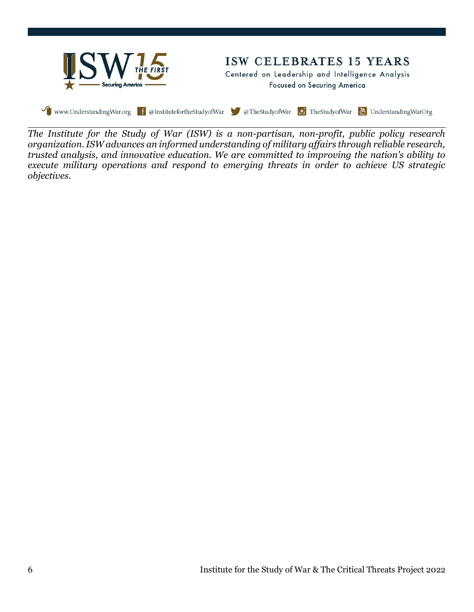

The Institute for the Study of War (ISW) is a non-partisan, non-profit, public policy research organization. ISW advances an informed understanding of military affairs through reliable research, trusted analysis, and innovative education. We are committed to improving the nation's ability to execute military operations and respond to emerging threats in order to achieve US strategic objectives.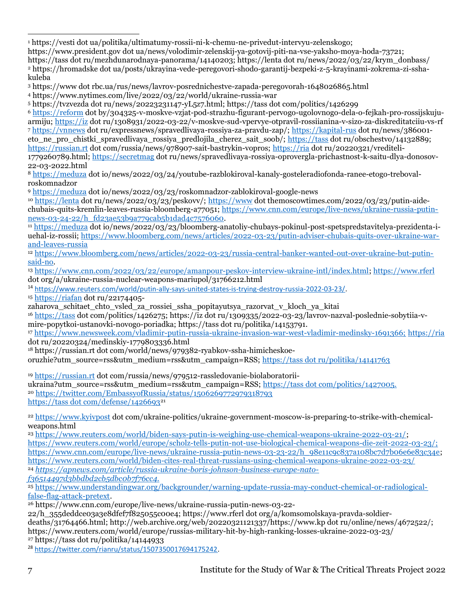1 https://vesti dot ua/politika/ultimatumy-rossii-ni-k-chemu-ne-privedut-intervyu-zelenskogo; l

https://www.president.gov dot ua/news/volodimir-zelenskij-ya-gotovij-piti-na-vse-yaksho-moya-hoda-73721;

https://tass dot ru/mezhdunarodnaya-panorama/14140203; https://lenta dot ru/news/2022/03/22/krym\_donbass/ 2 https://hromadske dot ua/posts/ukrayina-vede-peregovori-shodo-garantij-bezpeki-z-5-krayinami-zokrema-zi-sshakuleba

<sup>3</sup> https://www dot rbc.ua/rus/news/lavrov-posrednichestve-zapada-peregovorah-1648026865.html

<sup>4</sup> https://www.nytimes.com/live/2022/03/22/world/ukraine-russia-war

<sup>5</sup> https://tvzvezda dot ru/news/20223231147-yL5z7.html; https://tass dot com/politics/1426299

<sup>6</sup> https://reform dot by/304325-v-moskve-vzjat-pod-strazhu-figurant-pervogo-ugolovnogo-dela-o-fejkah-pro-rossijskujuarmiju; https://iz dot ru/1308931/2022-03-22/v-moskve-sud-vpervye-otpravil-rossiianina-v-sizo-za-diskreditatciiu-vs-rf <sup>7</sup> https://vnnews dot ru/expressnews/spravedlivaya-rossiya-za-pravdu-zap/; https://kapital-rus dot ru/news/386001 eto\_ne\_pro\_chistki\_spravedlivaya\_rossiya\_predlojila\_cherez\_sait\_soob/; https://tass dot ru/obschestvo/14132889; https://russian.rt dot com/russia/news/978907-sait-bastrykin-vopros; https://ria dot ru/20220321/vrediteli-1779260789.html; https://secretmag dot ru/news/spravedlivaya-rossiya-oprovergla-prichastnost-k-saitu-dlya-donosov-22-03-2022.html

<sup>8</sup> https://meduza dot io/news/2022/03/24/youtube-razblokiroval-kanaly-gosteleradiofonda-ranee-etogo-trebovalroskomnadzor

<sup>9</sup> https://meduza dot io/news/2022/03/23/roskomnadzor-zablokiroval-google-news

<sup>10</sup> https://lenta dot ru/news/2022/03/23/peskovv/; https://www dot themoscowtimes.com/2022/03/23/putin-aidechubais-quits-kremlin-leaves-russia-bloomberg-a77051; https://www.cnn.com/europe/live-news/ukraine-russia-putinnews-03-24-22/h\_fd23ae53b9a779cab5b1dad4c7576060.

<sup>11</sup> https://meduza dot io/news/2022/03/23/bloomberg-anatoliy-chubays-pokinul-post-spetspredstavitelya-prezidenta-iuehal-iz-rossii; https://www.bloomberg.com/news/articles/2022-03-23/putin-adviser-chubais-quits-over-ukraine-warand-leaves-russia

<sup>12</sup> https://www.bloomberg.com/news/articles/2022-03-23/russia-central-banker-wanted-out-over-ukraine-but-putinsaid-no.

<sup>13</sup> https://www.cnn.com/2022/03/22/europe/amanpour-peskov-interview-ukraine-intl/index.html; https://www.rferl dot org/a/ukraine-russia-nuclear-weapons-mariupol/31766212.html

<sup>14</sup> https://www.reuters.com/world/putin-ally-says-united-states-is-trying-destroy-russia-2022-03-23/.

<sup>15</sup> https://riafan dot ru/22174405-

zaharova\_schitaet\_chto\_vsled\_za\_rossiei\_ssha\_popitayutsya\_razorvat\_v\_kloch\_ya\_kitai

<sup>16</sup> https://tass dot com/politics/1426275; https://iz dot ru/1309335/2022-03-23/lavrov-nazval-poslednie-sobytiia-vmire-popytkoi-ustanovki-novogo-poriadka; https://tass dot ru/politika/14153791.

<sup>17</sup> https://www.newsweek.com/vladimir-putin-russia-ukraine-invasion-war-west-vladimir-medinsky-1691366; https://ria dot ru/20220324/medinskiy-1779803336.html

18 https://russian.rt dot com/world/news/979382-ryabkov-ssha-himicheskoe-

oruzhie?utm\_source=rss&utm\_medium=rss&utm\_campaign=RSS; https://tass dot ru/politika/14141763

<sup>19</sup> https://russian.rt dot com/russia/news/979512-rassledovanie-biolaboratoriiukraina?utm\_source=rss&utm\_medium=rss&utm\_campaign=RSS; https://tass dot com/politics/1427005. <sup>20</sup> https://twitter.com/EmbassyofRussia/status/1506269772979318793 https://tass dot com/defense/1426693<sup>21</sup>

<sup>22</sup> https://www.kyivpost dot com/ukraine-politics/ukraine-government-moscow-is-preparing-to-strike-with-chemicalweapons.html

<sup>23</sup> https://www.reuters.com/world/biden-says-putin-is-weighing-use-chemical-weapons-ukraine-2022-03-21/; https://www.reuters.com/world/europe/scholz-tells-putin-not-use-biological-chemical-weapons-die-zeit-2022-03-23/; https://www.cnn.com/europe/live-news/ukraine-russia-putin-news-03-23-22/h\_98e11c9c837a108bc7d7b06e6e83c34e; https://www.reuters.com/world/biden-cites-real-threat-russians-using-chemical-weapons-ukraine-2022-03-23/ <sup>24</sup> https://apnews.com/article/russia-ukraine-boris-johnson-business-europe-natof36514497d3bbdbd2cb5dbc0b7f76cc4.

<sup>25</sup> https://www.understandingwar.org/backgrounder/warning-update-russia-may-conduct-chemical-or-radiologicalfalse-flag-attack-pretext.

<sup>26</sup> https://www.cnn.com/europe/live-news/ukraine-russia-putin-news-03-22-

22/h\_355deddce03a3e8dfef7f825055c00e4; https://www.rferl dot org/a/komsomolskaya-pravda-soldier-

deaths/31764466.html; http://web.archive.org/web/20220321121337/https://www.kp dot ru/online/news/4672522/; https://www.reuters.com/world/europe/russias-military-hit-by-high-ranking-losses-ukraine-2022-03-23/

<sup>27</sup> https://tass dot ru/politika/14144933

<sup>28</sup> https://twitter.com/rianru/status/1507350017694175242.